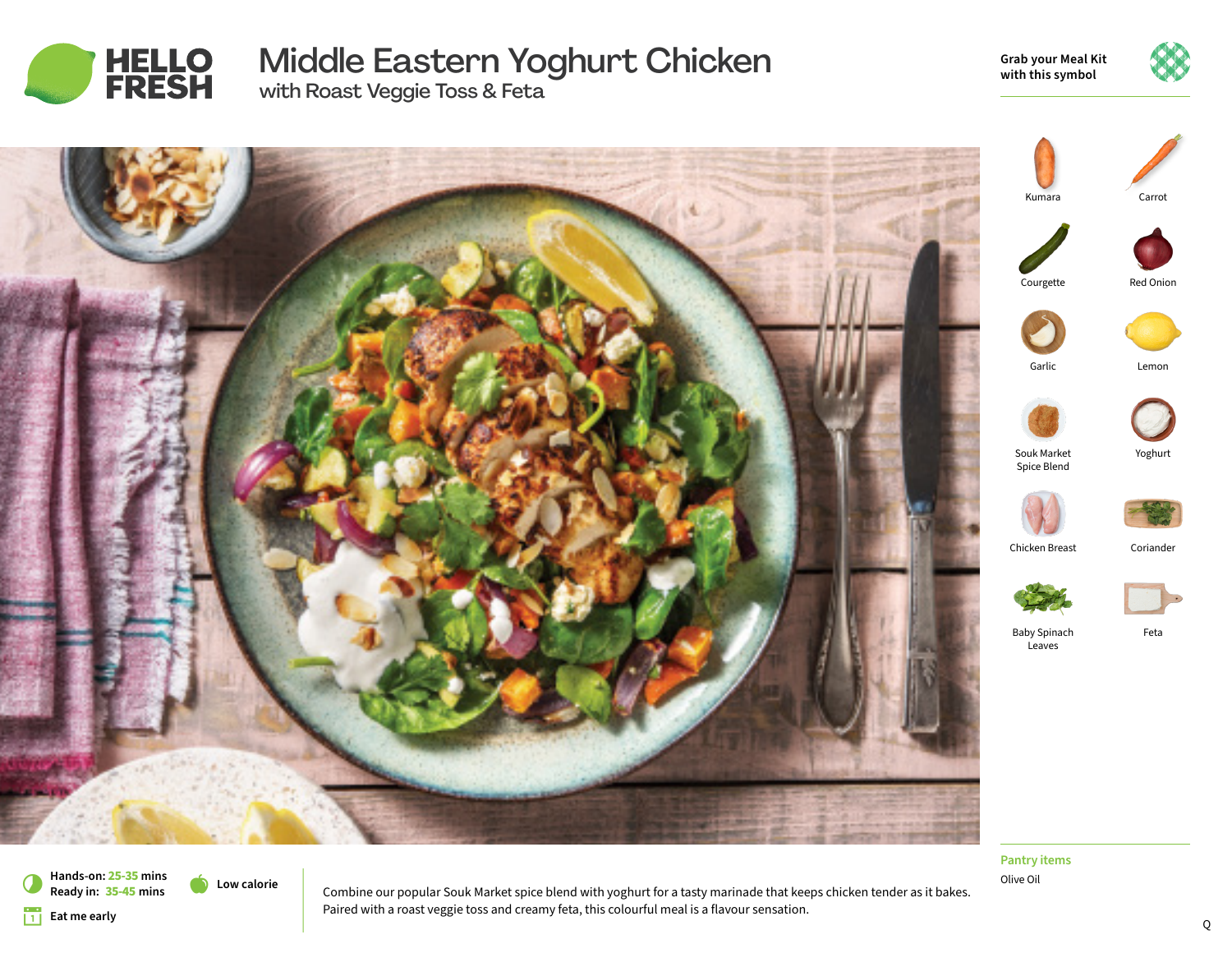

# Middle Eastern Yoghurt Chicken with Roast Veggie Toss & Feta

**Grab your Meal Kit with this symbol**





Olive Oil **Pantry items**

**Low calorie Hands-on: 25-35 mins** 7 **Ready in: 35-45 mins**

**Eat me early** 

Combine our popular Souk Market spice blend with yoghurt for a tasty marinade that keeps chicken tender as it bakes. Paired with a roast veggie toss and creamy feta, this colourful meal is a flavour sensation.